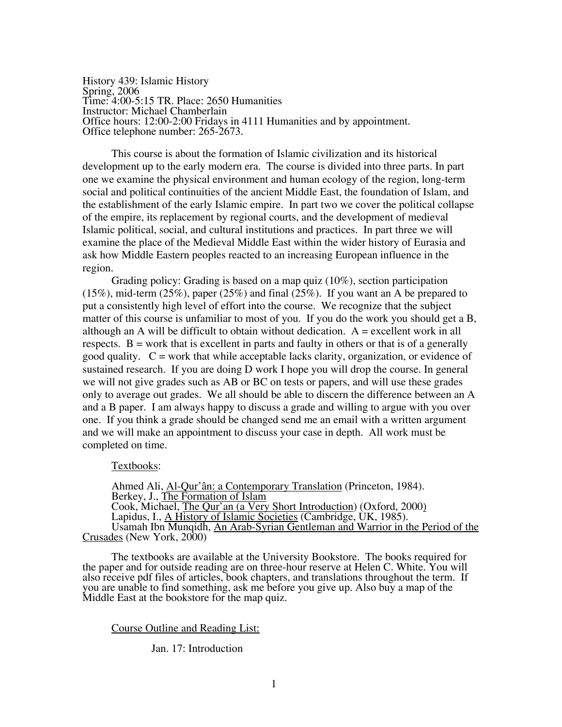History 439: Islamic History Spring, 2006 Time: 4:00-5:15 TR. Place: 2650 Humanities Instructor: Michael Chamberlain Office hours: 12:00-2:00 Fridays in 4111 Humanities and by appointment. Office telephone number: 265-2673.

This course is about the formation of Islamic civilization and its historical development up to the early modern era. The course is divided into three parts. In part one we examine the physical environment and human ecology of the region, long-term social and political continuities of the ancient Middle East, the foundation of Islam, and the establishment of the early Islamic empire. In part two we cover the political collapse of the empire, its replacement by regional courts, and the development of medieval Islamic political, social, and cultural institutions and practices. In part three we will examine the place of the Medieval Middle East within the wider history of Eurasia and ask how Middle Eastern peoples reacted to an increasing European influence in the region.

Grading policy: Grading is based on a map quiz (10%), section participation (15%), mid-term (25%), paper (25%) and final (25%). If you want an A be prepared to put a consistently high level of effort into the course. We recognize that the subject matter of this course is unfamiliar to most of you. If you do the work you should get a B, although an A will be difficult to obtain without dedication.  $A =$  excellent work in all respects.  $B = work that is excellent in parts and faulty in others or that is of a generally$ good quality.  $C = \text{work}$  that while acceptable lacks clarity, organization, or evidence of sustained research. If you are doing D work I hope you will drop the course. In general we will not give grades such as AB or BC on tests or papers, and will use these grades only to average out grades. We all should be able to discern the difference between an A and a B paper. I am always happy to discuss a grade and willing to argue with you over one. If you think a grade should be changed send me an email with a written argument and we will make an appointment to discuss your case in depth. All work must be completed on time.

#### Textbooks:

Ahmed Ali, Al-Qur'ân: a Contemporary Translation (Princeton, 1984). Berkey, J., The Formation of Islam Cook, Michael, The Qur'an (a Very Short Introduction) (Oxford, 2000) Lapidus, I., <u>A History of Islamic Societies</u> (Cambridge, UK, 1985). Usamah Ibn Munqidh, An Arab-Syrian Gentleman and Warrior in the Period of the Crusades (New York, 2000)

The textbooks are available at the University Bookstore. The books required for the paper and for outside reading are on three-hour reserve at Helen C. White. You will also receive pdf files of articles, book chapters, and translations throughout the term. If you are unable to find something, ask me before you give up. Also buy a map of the Middle East at the bookstore for the map quiz.

Course Outline and Reading List:

Jan. 17: Introduction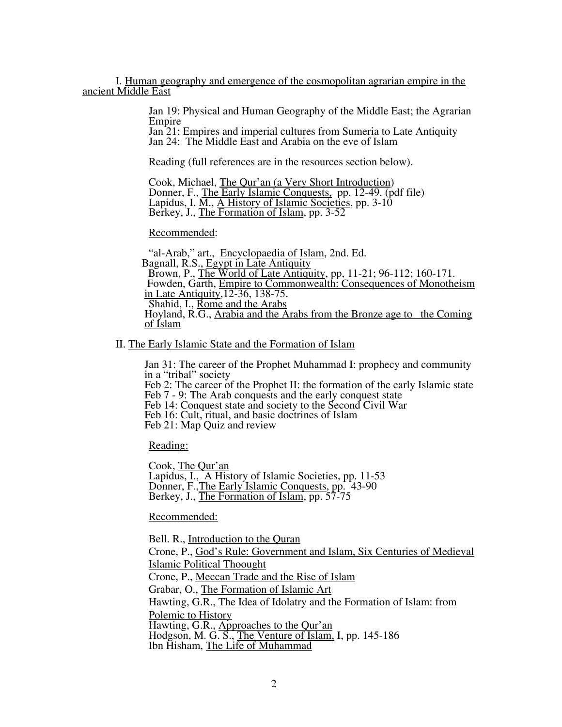I. Human geography and emergence of the cosmopolitan agrarian empire in the ancient Middle East

> Jan 19: Physical and Human Geography of the Middle East; the Agrarian Empire

Jan 21: Empires and imperial cultures from Sumeria to Late Antiquity

Reading (full references are in the resources section below).

 Cook, Michael, The Qur'an (a Very Short Introduction) Donner, F., The Early Islamic Conquests, pp. 12-49. (pdf file) Lapidus, I.  $\overline{M}$ ., A History of Islamic Societies, pp. 3-10 Berkey, J., The Formation of Islam, pp. 3-52

Recommended:

"al-Arab," art., Encyclopaedia of Islam, 2nd. Ed. Bagnall, R.S., Egypt in Late Antiquity Brown, P., The World of Late Antiquity, pp, 11-21; 96-112; 160-171. Fowden, Garth, Empire to Commonwealth: Consequences of Monotheism in Late Antiquity,12-36, 138-75. Shahid, I., Rome and the Arabs Hoyland, R.G., Arabia and the Arabs from the Bronze age to the Coming of Islam

II. The Early Islamic State and the Formation of Islam

Jan 31: The career of the Prophet Muhammad I: prophecy and community in a "tribal" society Feb 2: The career of the Prophet II: the formation of the early Islamic state Feb 7 - 9: The Arab conquests and the early conquest state Feb 14: Conquest state and society to the Second Civil War Feb 16: Cult, ritual, and basic doctrines of Islam Feb 21: Map Quiz and review

Reading:

 Cook, The Qur'an Lapidus, I., A History of Islamic Societies, pp. 11-53 Donner, F., The Early Islamic Conquests, pp. 43-90 Berkey, J., The Formation of Islam, pp. 57-75

Recommended:

 Bell. R., Introduction to the Quran Crone, P., God's Rule: Government and Islam, Six Centuries of Medieval Islamic Political Thoought Crone, P., Meccan Trade and the Rise of Islam Grabar, O., The Formation of Islamic Art Hawting, G.R., The Idea of Idolatry and the Formation of Islam: from Polemic to History Hawting, G.R., Approaches to the Qur'an Hodgson, M. G. S., The Venture of Islam, I, pp. 145-186 Ibn Hisham, The Life of Muhammad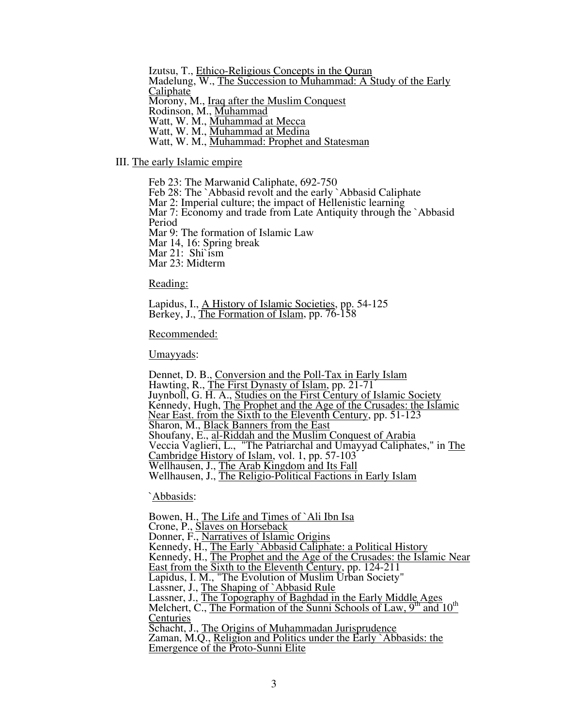Izutsu, T., Ethico-Religious Concepts in the Quran Madelung, W., The Succession to Muhammad: A Study of the Early Caliphate Morony, M., <u>Iraq after the Muslim Conquest</u><br>Rodinson, M., <u>Muhammad</u> Watt, W. M., Muhammad at Mecca<br>Watt, W. M., <u>Muhammad at Medina</u><br>Watt, W. M., <u>Muhammad: Prophet and Statesman</u>

III. The early Islamic empire<br>Feb 23: The Marwanid Caliphate, 692-750 Feb 28: The `Abbasid revolt and the early `Abbasid Caliphate Mar 2: Imperial culture; the impact of Hellenistic learning Mar 7: Economy and trade from Late Antiquity through the `Abbasid Period Mar 9: The formation of Islamic Law Mar 14, 16: Spring break Mar 21: Shi`ism Mar 23: Midterm

Reading:

 Lapidus, I., A History of Islamic Societies, pp. 54-125 Berkey, J., The Formation of Islam, pp. 76-158<br>Recommended:

Umayyads:

Dennet, D. B., Conversion and the Poll-Tax in Early Islam<br>Hawting, R., <u>The First Dynasty of Islam</u>, pp. 21-71<br>Juynboll, G. H. A., Studies on the First Century of Islamic Society Kennedy, Hugh, The Prophet and the Age of the Crusades: the Islamic Near East. from the Sixth to the Eleventh Century, pp. 51-123<br>Sharon, M., Black Banners from the East Sharon, M., **Black Banners from the East** Shoufany, E., al-Riddah and the Muslim Conquest of Arabia Veccia Vaglieri, L., "The Patriarchal and Umayyad Caliphates," in The Cambridge History of Islam, vol. 1, pp. 57-103 Wellhausen, J., The Arab Kingdom and Its Fall Wellhausen, J., The Religio-Political Factions in Early Islam

`Abbasids:

 Bowen, H., The Life and Times of `Ali Ibn Isa Crone, P., Slaves on Horseback Donner, F., Narratives of Islamic Origins Kennedy, H., The Early `Abbasid Caliphate: a Political History Kennedy, H., The Prophet and the Age of the Crusades: the Islamic Near East from the Sixth to the Eleventh Century, pp. 124-211 Lapidus, I. M., "The Evolution of Muslim Urban Society" Lassner, J., The Shaping of `Abbasid Rule Lassner, J., The Topography of Baghdad in the Early Middle Ages Melchert, C., The Formation of the Sunni Schools of Law, 9<sup>th</sup> and 10<sup>th</sup> Centuries Schacht, J., The Origins of Muhammadan Jurisprudence Zaman, M.Q., Religion and Politics under the Early `Abbasids: the Emergence of the Proto-Sunni Elite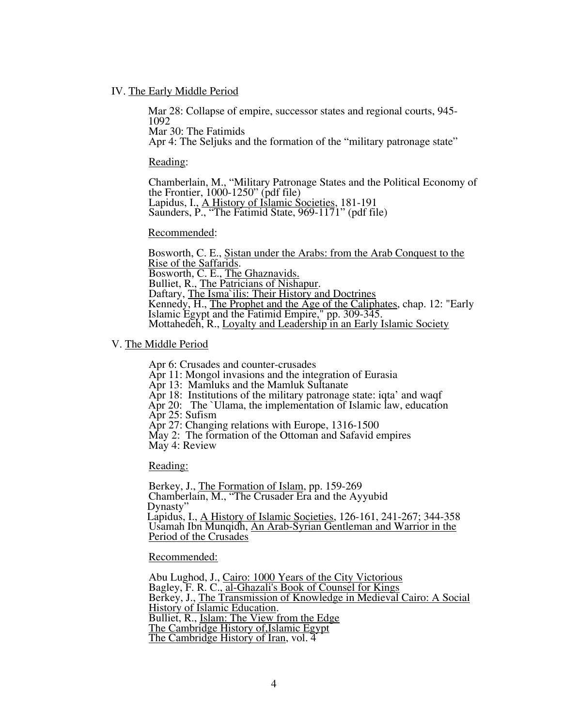### IV. The Early Middle Period

Mar 28: Collapse of empire, successor states and regional courts, 945- 1092

Mar 30: The Fatimids

Apr 4: The Seljuks and the formation of the "military patronage state"

Reading:

Chamberlain, M., "Military Patronage States and the Political Economy of the Frontier, 1000-1250" (pdf file) Lapidus, I., A History of Islamic Societies, 181-191 Saunders, P., "The Fatimid State, 969-1171" (pdf file)

### Recommended:

Bosworth, C. E., Sistan under the Arabs: from the Arab Conquest to the Rise of the Saffaridas.<br>Bulliet, R., <u>The Patricians of Nishapur</u>.<br>Daftary, The Isma`ilis: Their History and Doctrines Kennedy, H., The Prophet and the Age of the Caliphates, chap. 12: "Early Islamic Egypt and the Fatimid Empire," pp. 309-345. Mottahedeh, R., Loyalty and Leadership in an Early Islamic Society

V. The Middle Period

 Apr 6: Crusades and counter-crusades Apr 11: Mongol invasions and the integration of Eurasia Apr 13: Mamluks and the Mamluk Sultanate Apr 18: Institutions of the military patronage state: iqta' and waqf Apr 20: The `Ulama, the implementation of Islamic law, education Apr 25: Sufism Apr 27: Changing relations with Europe, 1316-1500 May 2: The formation of the Ottoman and Safavid empires May 4: Review

Reading:

 Berkey, J., The Formation of Islam, pp. 159-269 Chamberlain, M., "The Crusader Era and the Ayyubid Dynasty" Lapidus, I., A History of Islamic Societies, 126-161, 241-267; 344-358 Usamah Ibn Munqidh, An Arab-Syrian Gentleman and Warrior in the Period of the Crusades

Recommended:

 Abu Lughod, J., Cairo: 1000 Years of the City Victorious Bagley, F. R. C., al-Ghazali's Book of Counsel for Kings Berkey, J., The Transmission of Knowledge in Medieval Cairo: A Social History of Islamic Education. Bulliet, R., Islam: The View from the Edge. The Cambridge History of,Islamic Egypt The Cambridge History of Iran, vol. 4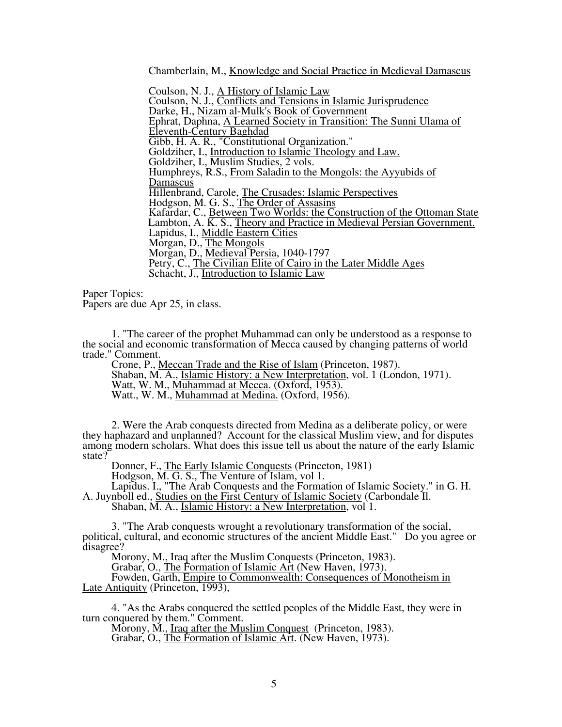Chamberlain, M., <u>Knowledge and Social Practice in Medieval Damascus</u><br>Coulson, N. J., <u>A History of Islamic Law</u>

 Coulson, N. J., Conflicts and Tensions in Islamic Jurisprudence Darke, H., <u>Nizam al-Mulk's Book of Government</u><br>Ephrat, Daphna, <u>A Learned Society in Transition: The Sunni Ulama of</u> Eleventh-Century Baghdad Gibb, H. A. R., "Constitutional Organization." Goldziher, I., Introduction to Islamic Theology and Law. Goldziher, I., Muslim Studies, 2 vols. Humphreys, R.S., From Saladin to the Mongols: the Ayyubids of Damascus Hillenbrand, Carole, The Crusades: Islamic Perspectives Hodgson, M. G. S., The Order of Assasins Kafardar, C., Between Two Worlds: the Construction of the Ottoman State Lambton, A. K. S., Theory and Practice in Medieval Persian Government. Lapidus, I., Middle Eastern Cities Morgan, D., The Mongols Morgan, D., Medieval Persia, 1040-1797 Petry, C., The Civilian Elite of Cairo in the Later Middle Ages Schacht, J., Introduction to Islamic Law

 Paper Topics: Papers are due Apr 25, in class.

1. "The career of the prophet Muhammad can only be understood as a response to the social and economic transformation of Mecca caused by changing patterns of world trade." Comment.

Crone, P., Meccan Trade and the Rise of Islam (Princeton, 1987). Shaban, M. A., Islamic History: a New Interpretation, vol. 1 (London, 1971). Watt, W. M., Muhammad at Mecca. (Oxford, 1953).

Watt., W. M., Muhammad at Medina. (Oxford, 1956).

2. Were the Arab conquests directed from Medina as a deliberate policy, or were they haphazard and unplanned? Account for the classical Muslim view, and for disputes among modern scholars. What does this issue tell us about the nature of the early Islamic state?

Donner, F., The Early Islamic Conquests (Princeton, 1981)

Hodgson, M. G. S., The Venture of Islam, vol 1.

Lapidus. I., "The Arab Conquests and the Formation of Islamic Society." in G. H. A. Juynboll ed., Studies on the First Century of Islamic Society (Carbondale Il.

Shaban, M. A., Islamic History: a New Interpretation, vol 1.

3. "The Arab conquests wrought a revolutionary transformation of the social, political, cultural, and economic structures of the ancient Middle East." Do you agree or disagree?

Morony, M., Iraq after the Muslim Conquests (Princeton, 1983).

Grabar, O., The Formation of Islamic Art (New Haven, 1973).

Fowden, Garth, Empire to Commonwealth: Consequences of Monotheism in Late Antiquity (Princeton, 1993),

4. "As the Arabs conquered the settled peoples of the Middle East, they were in turn conquered by them." Comment.

Morony, M., Iraq after the Muslim Conquest (Princeton, 1983).

Grabar, O., The Formation of Islamic Art. (New Haven, 1973).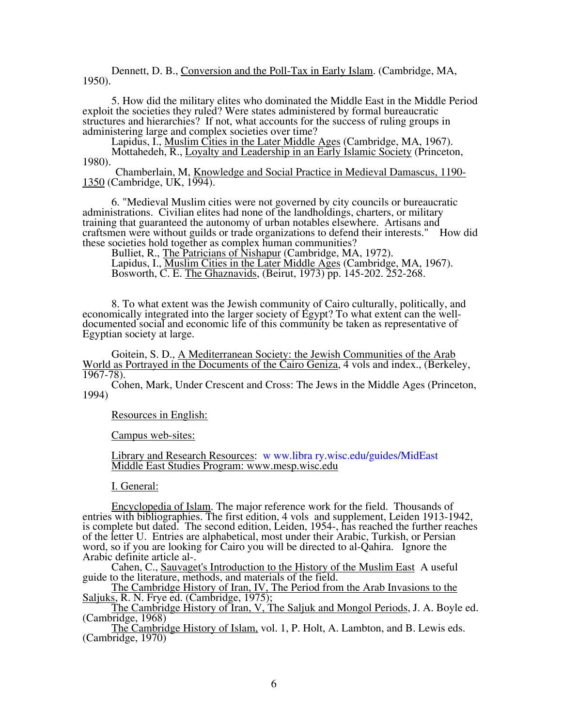Dennett, D. B., Conversion and the Poll-Tax in Early Islam. (Cambridge, MA, 1950).

5. How did the military elites who dominated the Middle East in the Middle Period exploit the societies they ruled? Were states administered by formal bureaucratic structures and hierarchies? If not, what accounts for the success of ruling groups in administering large and complex societies over time?

Lapidus, I., *Muslim Cities in the Later Middle Ages* (Cambridge, MA, 1967). Mottahedeh, R., Loyalty and Leadership in an Early Islamic Society (Princeton, 1980).

 Chamberlain, M, Knowledge and Social Practice in Medieval Damascus, 1190- 1350 (Cambridge, UK, 1994).

6. "Medieval Muslim cities were not governed by city councils or bureaucratic administrations. Civilian elites had none of the landholdings, charters, or military training that guaranteed the autonomy of urban notables elsewhere. Artisans and craftsmen were without guilds or trade organizations to defend their interests." How did these societies hold together as complex human communities?

Bulliet, R., The Patricians of Nishapur (Cambridge, MA, 1972). Lapidus, I., Muslim Cities in the Later Middle Ages (Cambridge, MA, 1967). Bosworth, C. E. The Ghaznavids, (Beirut, 1973) pp. 145-202. 252-268.

8. To what extent was the Jewish community of Cairo culturally, politically, and economically integrated into the larger society of Egypt? To what extent can the welldocumented social and economic life of this community be taken as representative of Egyptian society at large.

Goitein, S. D., A Mediterranean Society: the Jewish Communities of the Arab World as Portrayed in the Documents of the Cairo Geniza, 4 vols and index., (Berkeley,  $1967 - 78$ ).

Cohen, Mark, Under Crescent and Cross: The Jews in the Middle Ages (Princeton, 1994)

Resources in English:

Campus web-sites:

Library and Research Resources: w ww.libra ry.wisc.edu/guides/MidEast Middle East Studies Program: www.mesp.wisc.edu

I. General:

Encyclopedia of Islam. The major reference work for the field. Thousands of entries with bibliographies. The first edition, 4 vols and supplement, Leiden 1913-1942, is complete but dated. The second edition, Leiden, 1954-, has reached the further reaches of the letter U. Entries are alphabetical, most under their Arabic, Turkish, or Persian word, so if you are looking for Cairo you will be directed to al-Qahira. Ignore the Arabic definite article al-.

Cahen, C., Sauvaget's Introduction to the History of the Muslim East A useful guide to the literature, methods, and materials of the field.

The Cambridge History of Iran, IV, The Period from the Arab Invasions to the Saljuks, R. N. Frye ed. (Cambridge, 1975);

The Cambridge History of Iran, V, The Saljuk and Mongol Periods, J. A. Boyle ed. (Cambridge, 1968)

The Cambridge History of Islam, vol. 1, P. Holt, A. Lambton, and B. Lewis eds. (Cambridge, 1970)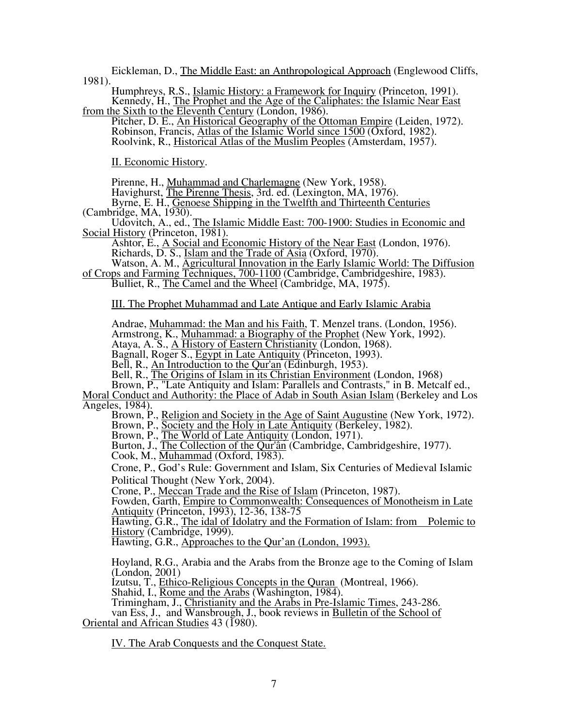Eickleman, D., The Middle East: an Anthropological Approach (Englewood Cliffs, 1981).

Humphreys, R.S., Islamic History: a Framework for Inquiry (Princeton, 1991). Kennedy, H., The Prophet and the Age of the Caliphates: the Islamic Near East from the Sixth to the Eleventh Century (London, 1986).

Pitcher, D. E., An Historical Geography of the Ottoman Empire (Leiden, 1972). Robinson, Francis, Atlas of the Islamic World since 1500 (Oxford, 1982). Roolvink, R., Historical Atlas of the Muslim Peoples (Amsterdam, 1957).

II. Economic History.

Pirenne, H., Muhammad and Charlemagne (New York, 1958).

Havighurst, The Pirenne Thesis, 3rd. ed. (Lexington, MA, 1976).

Byrne, E. H., Genoese Shipping in the Twelfth and Thirteenth Centuries (Cambridge, MA, 1930).

Udovitch, A., ed., The Islamic Middle East: 700-1900: Studies in Economic and Social History (Princeton, 1981).

Ashtor, E., A Social and Economic History of the Near East (London, 1976). Richards, D. S., Islam and the Trade of Asia (Oxford, 1970).

Watson, A. M., <u>Agricultural Innovation in the Early Islamic</u> World: The Diffusion of Crops and Farming Techniques, 700-1100 (Cambridge, Cambridgeshire, 1983).

Bulliet, R., The Camel and the Wheel (Cambridge, MA, 1975).

III. The Prophet Muhammad and Late Antique and Early Islamic Arabia

Andrae, Muhammad: the Man and his Faith, T. Menzel trans. (London, 1956).

Armstrong, K., Muhammad: a Biography of the Prophet (New York, 1992).

Ataya, A. S., A History of Eastern Christianity (London, 1968).

Bagnall, Roger S., Egypt in Late Antiquity (Princeton, 1993).

Bell, R., An Introduction to the Qur'an (Edinburgh, 1953).

Bell, R., The Origins of Islam in its Christian Environment (London, 1968)

Brown, P., "Late Antiquity and Islam: Parallels and Contrasts," in B. Metcalf ed., Moral Conduct and Authority: the Place of Adab in South Asian Islam (Berkeley and Los

Angeles, 1984).

Brown, P., Religion and Society in the Age of Saint Augustine (New York, 1972).

Brown, P., Society and the Holy in Late Antiquity (Berkeley, 1982).

Brown, P., The World of Late Antiquity (London, 1971).

Burton, J., The Collection of the Qur'ân (Cambridge, Cambridgeshire, 1977).

Cook, M., Muhammad (Oxford, 1983).

Crone, P., God's Rule: Government and Islam, Six Centuries of Medieval Islamic Political Thought (New York, 2004).

Crone, P., Meccan Trade and the Rise of Islam (Princeton, 1987).

Fowden, Garth, Empire to Commonwealth: Consequences of Monotheism in Late Antiquity (Princeton, 1993), 12-36, 138-75

Hawting, G.R., The idal of Idolatry and the Formation of Islam: from Polemic to History (Cambridge, 1999).

Hawting, G.R., Approaches to the Qur'an (London, 1993).

Hoyland, R.G., Arabia and the Arabs from the Bronze age to the Coming of Islam (London, 2001)

Izutsu, T., Ethico-Religious Concepts in the Quran (Montreal, 1966).

Shahid, I., Rome and the Arabs (Washington, 1984).

Trimingham, J., Christianity and the Arabs in Pre-Islamic Times, 243-286.

van Ess, J., and Wansbrough, J., book reviews in Bulletin of the School of Oriental and African Studies 43 (1980).

IV. The Arab Conquests and the Conquest State.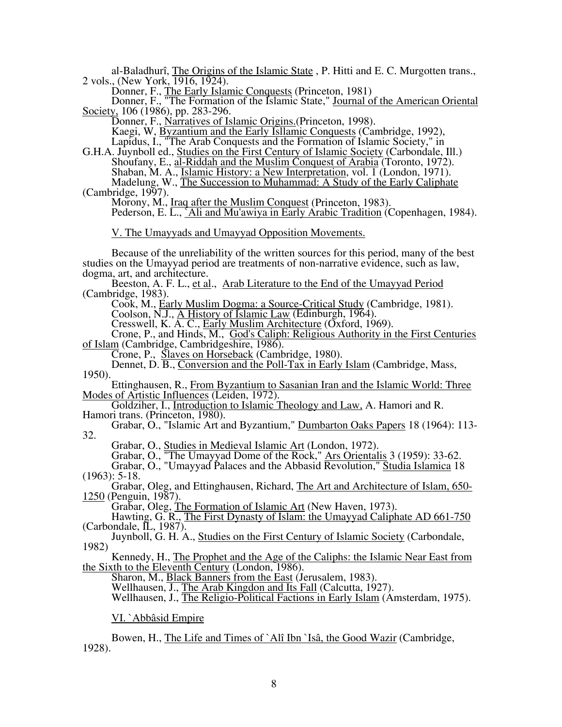al-Baladhurî, The Origins of the Islamic State , P. Hitti and E. C. Murgotten trans., 2 vols., (New York, 1916, 1924).

Donner, F., The Early Islamic Conquests (Princeton, 1981)

Donner, F., "The Formation of the Islamic State," Journal of the American Oriental Society, 106 (1986), pp. 283-296.

Donner, F., Narratives of Islamic Origins. (Princeton, 1998).

Kaegi, W, Byzantium and the Early Isllamic Conquests (Cambridge, 1992),

Lapidus, I., "The Arab Conquests and the Formation of Islamic Society," in

G.H.A. Juynboll ed., Studies on the First Century of Islamic Society (Carbondale, Ill.) Shoufany, E., al-Riddah and the Muslim Conquest of Arabia (Toronto, 1972). Shaban, M. A., Islamic History: a New Interpretation, vol. 1 (London, 1971).

Madelung, W., The Succession to Muhammad: A Study of the Early Caliphate (Cambridge, 1997).

Morony, M., Iraq after the Muslim Conquest (Princeton, 1983).

Pederson, E. L., `Ali and Mu'awiya in Early Arabic Tradition (Copenhagen, 1984).

V. The Umayyads and Umayyad Opposition Movements.

٦ Because of the unreliability of the written sources for this period, many of the best studies on the Umayyad period are treatments of non-narrative evidence, such as law, dogma, art, and architecture.

Beeston, A. F. L., et al., Arab Literature to the End of the Umayyad Period (Cambridge, 1983).

Cook, M., Early Muslim Dogma: a Source-Critical Study (Cambridge, 1981).

Coolson, N.J., A History of Islamic Law (Edinburgh, 1964).

Cresswell, K. A. C., Early Muslim Architecture (Oxford, 1969).

Crone, P., and Hinds, M., God's Caliph: Religious Authority in the First Centuries of Islam (Cambridge, Cambridgeshire, 1986).

Crone, P., Slaves on Horseback (Cambridge, 1980).

Dennet, D. B., Conversion and the Poll-Tax in Early Islam (Cambridge, Mass, 1950).

Ettinghausen, R., From Byzantium to Sasanian Iran and the Islamic World: Three Modes of Artistic Influences (Leiden, 1972).

Goldziher, I., Introduction to Islamic Theology and Law, A. Hamori and R. Hamori trans. (Princeton, 1980).

Grabar, O., "Islamic Art and Byzantium," Dumbarton Oaks Papers 18 (1964): 113- 32.

Grabar, O., Studies in Medieval Islamic Art (London, 1972).

Grabar, O., "The Umayyad Dome of the Rock," Ars Orientalis 3 (1959): 33-62.

Grabar, O., "Umayyad Palaces and the Abbasid Revolution," Studia Islamica 18 (1963): 5-18.

Grabar, Oleg, and Ettinghausen, Richard, The Art and Architecture of Islam, 650- 1250 (Penguin, 1987).

Grabar, Oleg, The Formation of Islamic Art (New Haven, 1973).

Hawting, G. R., The First Dynasty of Islam: the Umayyad Caliphate AD 661-750  $(Carbondale, \overline{IL}, 1987).$ 

Juynboll, G. H. A., Studies on the First Century of Islamic Society (Carbondale, 1982)

Kennedy, H., The Prophet and the Age of the Caliphs: the Islamic Near East from the Sixth to the Eleventh Century (London, 1986).

Sharon, M., **Black Banners from the East** (Jerusalem, 1983).

Wellhausen, J., The Arab Kingdon and Its Fall (Calcutta, 1927).

Wellhausen, J., The Religio-Political Factions in Early Islam (Amsterdam, 1975).

VI. `Abbâsid Empire

Bowen, H., The Life and Times of `Alî Ibn `Isâ, the Good Wazir (Cambridge, 1928).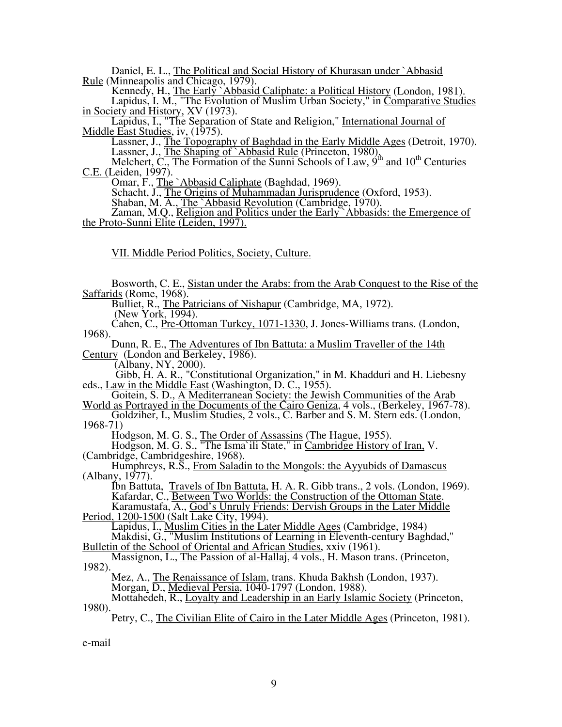Daniel, E. L., The Political and Social History of Khurasan under `Abbasid Rule (Minneapolis and Chicago, 1979).

Kennedy, H., The Early `Abbasid Caliphate: a Political History (London, 1981). Lapidus, I. M., "The Evolution of Muslim Urban Society," in Comparative Studies in Society and History, XV (1973).

Lapidus, I., "The Separation of State and Religion," International Journal of Middle East Studies, iv, (1975).

Lassner, J., The Topography of Baghdad in the Early Middle Ages (Detroit, 1970). Lassner, J., The Shaping of `Abbasid Rule (Princeton, 1980).

Melchert, C., The Formation of the Sunni Schools of Law, 9<sup>th</sup> and 10<sup>th</sup> Centuries C.E. (Leiden, 1997).

Omar, F., The `Abbasid Caliphate (Baghdad, 1969).

Schacht, J., The Origins of Muhammadan Jurisprudence (Oxford, 1953).

Shaban, M. A., The Abbasid Revolution (Cambridge, 1970).

Zaman, M.Q., Religion and Politics under the Early Abbasids: the Emergence of the Proto-Sunni Elite (Leiden, 1997).

VII. Middle Period Politics, Society, Culture.

Bosworth, C. E., Sistan under the Arabs: from the Arab Conquest to the Rise of the Saffarids (Rome, 1968).

Bulliet, R., The Patricians of Nishapur (Cambridge, MA, 1972).

(New York, 1994).

Cahen, C., Pre-Ottoman Turkey, 1071-1330, J. Jones-Williams trans. (London, 1968).

Dunn, R. E., The Adventures of Ibn Battuta: a Muslim Traveller of the 14th Century (London and Berkeley, 1986).

(Albany, NY, 2000).

 Gibb, H. A. R., "Constitutional Organization," in M. Khadduri and H. Liebesny eds., Law in the Middle East (Washington, D. C., 1955).

Goitein, S. D., A Mediterranean Society: the Jewish Communities of the Arab World as Portrayed in the Documents of the Cairo Geniza, 4 vols., (Berkeley, 1967-78).

Goldziher, I., Muslim Studies, 2 vols., C. Barber and S. M. Stern eds. (London, 1968-71)

Hodgson, M. G. S., The Order of Assassins (The Hague, 1955).

Hodgson, M. G. S., "The Isma`ili State," in Cambridge History of Iran, V. (Cambridge, Cambridgeshire, 1968).

Humphreys, R.S., From Saladin to the Mongols: the Ayyubids of Damascus (Albany, 1977).

Ibn Battuta, Travels of Ibn Battuta, H. A. R. Gibb trans., 2 vols. (London, 1969). Kafardar, C., Between Two Worlds: the Construction of the Ottoman State. Kafardar, C., Between Two Worlds: the Construction of the Ottoman State.<br>Karamustafa, A., God's Unruly Friends: Dervish Groups in the Later Middle

Period, 1200-1500 (Salt Lake City, 1994). Lapidus, I., Muslim Cities in the Later Middle Ages (Cambridge, 1984)

Makdisi, G., "Muslim Institutions of Learning in Eleventh-century Baghdad," Bulletin of the School of Oriental and African Studies, xxiv (1961).

## Massignon, L., The Passion of al-Hallaj, 4 vols., H. Mason trans. (Princeton, 1982).

Mez, A., The Renaissance of Islam, trans. Khuda Bakhsh (London, 1937). Morgan, D., Medieval Persia, 1040-1797 (London, 1988).

Mottahedeh,  $\overline{R}$ ., Loyalty and Leadership in an Early Islamic Society (Princeton, 1980).

Petry, C., The Civilian Elite of Cairo in the Later Middle Ages (Princeton, 1981).

e-mail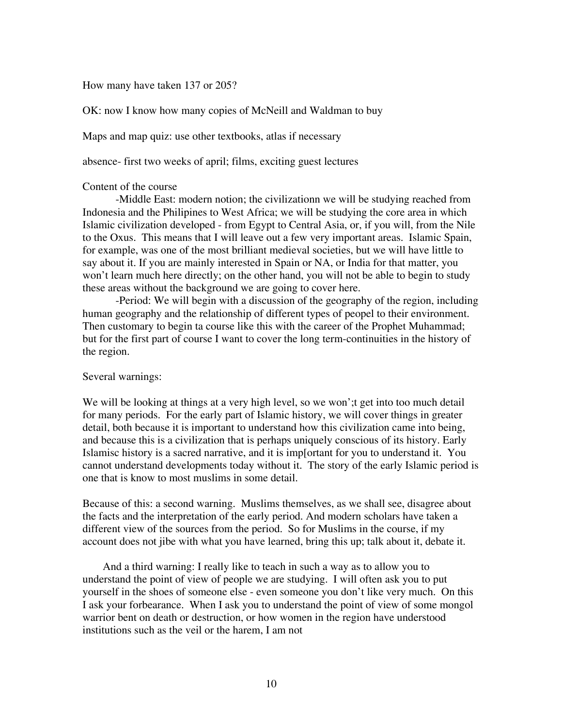### How many have taken 137 or 205?

OK: now I know how many copies of McNeill and Waldman to buy

Maps and map quiz: use other textbooks, atlas if necessary

absence- first two weeks of april; films, exciting guest lectures

# Content of the course

 -Middle East: modern notion; the civilizationn we will be studying reached from Indonesia and the Philipines to West Africa; we will be studying the core area in which Islamic civilization developed - from Egypt to Central Asia, or, if you will, from the Nile to the Oxus. This means that I will leave out a few very important areas. Islamic Spain, for example, was one of the most brilliant medieval societies, but we will have little to say about it. If you are mainly interested in Spain or NA, or India for that matter, you won't learn much here directly; on the other hand, you will not be able to begin to study these areas without the background we are going to cover here.

 -Period: We will begin with a discussion of the geography of the region, including human geography and the relationship of different types of peopel to their environment. Then customary to begin ta course like this with the career of the Prophet Muhammad; but for the first part of course I want to cover the long term-continuities in the history of the region.

### Several warnings:

We will be looking at things at a very high level, so we won'; get into too much detail for many periods. For the early part of Islamic history, we will cover things in greater detail, both because it is important to understand how this civilization came into being, and because this is a civilization that is perhaps uniquely conscious of its history. Early Islamisc history is a sacred narrative, and it is imp[ortant for you to understand it. You cannot understand developments today without it. The story of the early Islamic period is one that is know to most muslims in some detail.

Because of this: a second warning. Muslims themselves, as we shall see, disagree about the facts and the interpretation of the early period. And modern scholars have taken a different view of the sources from the period. So for Muslims in the course, if my account does not jibe with what you have learned, bring this up; talk about it, debate it.

And a third warning: I really like to teach in such a way as to allow you to understand the point of view of people we are studying. I will often ask you to put yourself in the shoes of someone else - even someone you don't like very much. On this I ask your forbearance. When I ask you to understand the point of view of some mongol warrior bent on death or destruction, or how women in the region have understood institutions such as the veil or the harem, I am not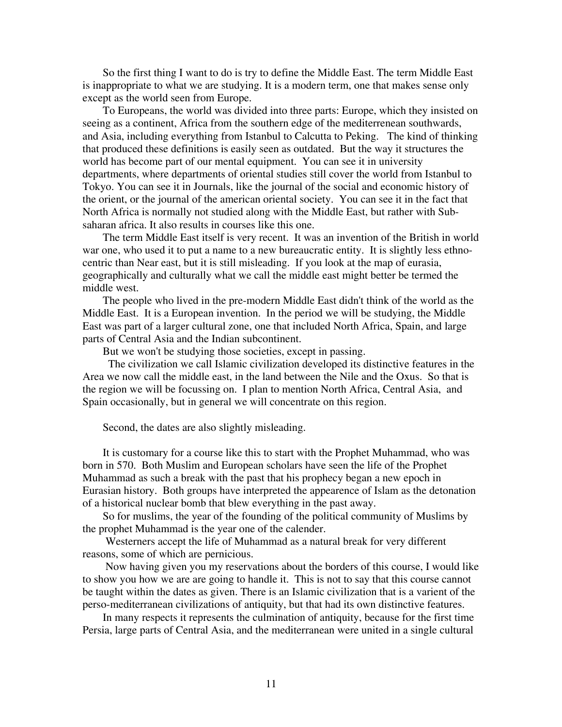So the first thing I want to do is try to define the Middle East. The term Middle East is inappropriate to what we are studying. It is a modern term, one that makes sense only except as the world seen from Europe.

To Europeans, the world was divided into three parts: Europe, which they insisted on seeing as a continent, Africa from the southern edge of the mediterrenean southwards, and Asia, including everything from Istanbul to Calcutta to Peking. The kind of thinking that produced these definitions is easily seen as outdated. But the way it structures the world has become part of our mental equipment. You can see it in university departments, where departments of oriental studies still cover the world from Istanbul to Tokyo. You can see it in Journals, like the journal of the social and economic history of the orient, or the journal of the american oriental society. You can see it in the fact that North Africa is normally not studied along with the Middle East, but rather with Subsaharan africa. It also results in courses like this one.

The term Middle East itself is very recent. It was an invention of the British in world war one, who used it to put a name to a new bureaucratic entity. It is slightly less ethnocentric than Near east, but it is still misleading. If you look at the map of eurasia, geographically and culturally what we call the middle east might better be termed the middle west.

The people who lived in the pre-modern Middle East didn't think of the world as the Middle East. It is a European invention. In the period we will be studying, the Middle East was part of a larger cultural zone, one that included North Africa, Spain, and large parts of Central Asia and the Indian subcontinent.

But we won't be studying those societies, except in passing.

 The civilization we call Islamic civilization developed its distinctive features in the Area we now call the middle east, in the land between the Nile and the Oxus. So that is the region we will be focussing on. I plan to mention North Africa, Central Asia, and Spain occasionally, but in general we will concentrate on this region.

Second, the dates are also slightly misleading.

It is customary for a course like this to start with the Prophet Muhammad, who was born in 570. Both Muslim and European scholars have seen the life of the Prophet Muhammad as such a break with the past that his prophecy began a new epoch in Eurasian history. Both groups have interpreted the appearence of Islam as the detonation of a historical nuclear bomb that blew everything in the past away.

So for muslims, the year of the founding of the political community of Muslims by the prophet Muhammad is the year one of the calender.

 Westerners accept the life of Muhammad as a natural break for very different reasons, some of which are pernicious.

 Now having given you my reservations about the borders of this course, I would like to show you how we are are going to handle it. This is not to say that this course cannot be taught within the dates as given. There is an Islamic civilization that is a varient of the perso-mediterranean civilizations of antiquity, but that had its own distinctive features.

In many respects it represents the culmination of antiquity, because for the first time Persia, large parts of Central Asia, and the mediterranean were united in a single cultural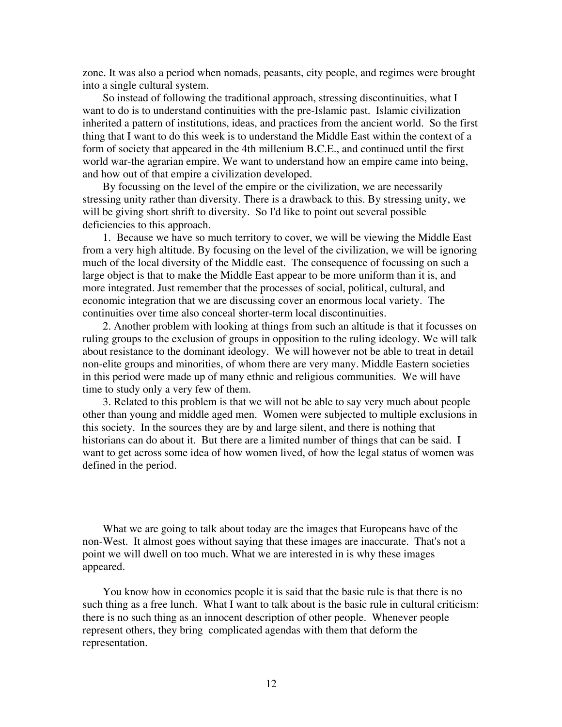zone. It was also a period when nomads, peasants, city people, and regimes were brought into a single cultural system.

So instead of following the traditional approach, stressing discontinuities, what I want to do is to understand continuities with the pre-Islamic past. Islamic civilization inherited a pattern of institutions, ideas, and practices from the ancient world. So the first thing that I want to do this week is to understand the Middle East within the context of a form of society that appeared in the 4th millenium B.C.E., and continued until the first world war-the agrarian empire. We want to understand how an empire came into being, and how out of that empire a civilization developed.

By focussing on the level of the empire or the civilization, we are necessarily stressing unity rather than diversity. There is a drawback to this. By stressing unity, we will be giving short shrift to diversity. So I'd like to point out several possible deficiencies to this approach.

1. Because we have so much territory to cover, we will be viewing the Middle East from a very high altitude. By focusing on the level of the civilization, we will be ignoring much of the local diversity of the Middle east. The consequence of focussing on such a large object is that to make the Middle East appear to be more uniform than it is, and more integrated. Just remember that the processes of social, political, cultural, and economic integration that we are discussing cover an enormous local variety. The continuities over time also conceal shorter-term local discontinuities.

2. Another problem with looking at things from such an altitude is that it focusses on ruling groups to the exclusion of groups in opposition to the ruling ideology. We will talk about resistance to the dominant ideology. We will however not be able to treat in detail non-elite groups and minorities, of whom there are very many. Middle Eastern societies in this period were made up of many ethnic and religious communities. We will have time to study only a very few of them.

3. Related to this problem is that we will not be able to say very much about people other than young and middle aged men. Women were subjected to multiple exclusions in this society. In the sources they are by and large silent, and there is nothing that historians can do about it. But there are a limited number of things that can be said. I want to get across some idea of how women lived, of how the legal status of women was defined in the period.

What we are going to talk about today are the images that Europeans have of the non-West. It almost goes without saying that these images are inaccurate. That's not a point we will dwell on too much. What we are interested in is why these images appeared.

You know how in economics people it is said that the basic rule is that there is no such thing as a free lunch. What I want to talk about is the basic rule in cultural criticism: there is no such thing as an innocent description of other people. Whenever people represent others, they bring complicated agendas with them that deform the representation.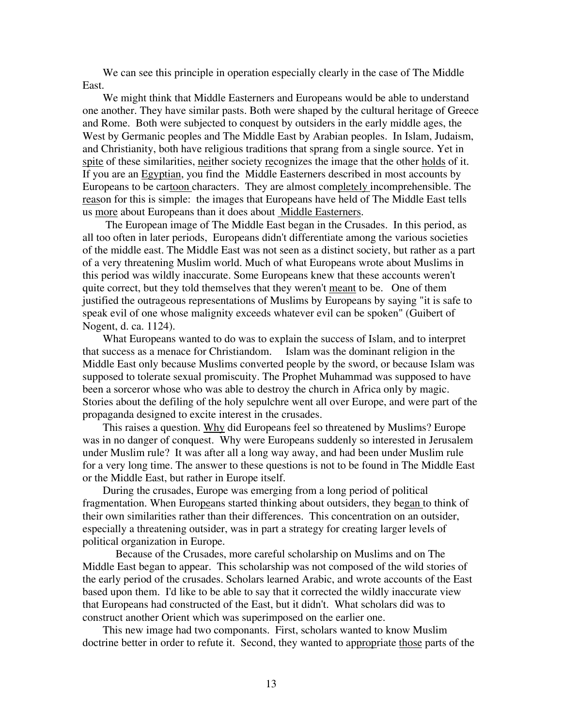We can see this principle in operation especially clearly in the case of The Middle East.

We might think that Middle Easterners and Europeans would be able to understand one another. They have similar pasts. Both were shaped by the cultural heritage of Greece and Rome. Both were subjected to conquest by outsiders in the early middle ages, the West by Germanic peoples and The Middle East by Arabian peoples. In Islam, Judaism, and Christianity, both have religious traditions that sprang from a single source. Yet in spite of these similarities, neither society recognizes the image that the other holds of it. If you are an Egyptian, you find the Middle Easterners described in most accounts by Europeans to be cartoon characters. They are almost completely incomprehensible. The reason for this is simple: the images that Europeans have held of The Middle East tells us more about Europeans than it does about Middle Easterners.

 The European image of The Middle East began in the Crusades. In this period, as all too often in later periods, Europeans didn't differentiate among the various societies of the middle east. The Middle East was not seen as a distinct society, but rather as a part of a very threatening Muslim world. Much of what Europeans wrote about Muslims in this period was wildly inaccurate. Some Europeans knew that these accounts weren't quite correct, but they told themselves that they weren't meant to be. One of them justified the outrageous representations of Muslims by Europeans by saying "it is safe to speak evil of one whose malignity exceeds whatever evil can be spoken" (Guibert of Nogent, d. ca. 1124).

What Europeans wanted to do was to explain the success of Islam, and to interpret that success as a menace for Christiandom. Islam was the dominant religion in the Middle East only because Muslims converted people by the sword, or because Islam was supposed to tolerate sexual promiscuity. The Prophet Muhammad was supposed to have been a sorceror whose who was able to destroy the church in Africa only by magic. Stories about the defiling of the holy sepulchre went all over Europe, and were part of the propaganda designed to excite interest in the crusades.

This raises a question. Why did Europeans feel so threatened by Muslims? Europe was in no danger of conquest. Why were Europeans suddenly so interested in Jerusalem under Muslim rule? It was after all a long way away, and had been under Muslim rule for a very long time. The answer to these questions is not to be found in The Middle East or the Middle East, but rather in Europe itself.

During the crusades, Europe was emerging from a long period of political fragmentation. When Europeans started thinking about outsiders, they began to think of their own similarities rather than their differences. This concentration on an outsider, especially a threatening outsider, was in part a strategy for creating larger levels of political organization in Europe.

 Because of the Crusades, more careful scholarship on Muslims and on The Middle East began to appear. This scholarship was not composed of the wild stories of the early period of the crusades. Scholars learned Arabic, and wrote accounts of the East based upon them. I'd like to be able to say that it corrected the wildly inaccurate view that Europeans had constructed of the East, but it didn't. What scholars did was to construct another Orient which was superimposed on the earlier one.

This new image had two componants. First, scholars wanted to know Muslim doctrine better in order to refute it. Second, they wanted to appropriate those parts of the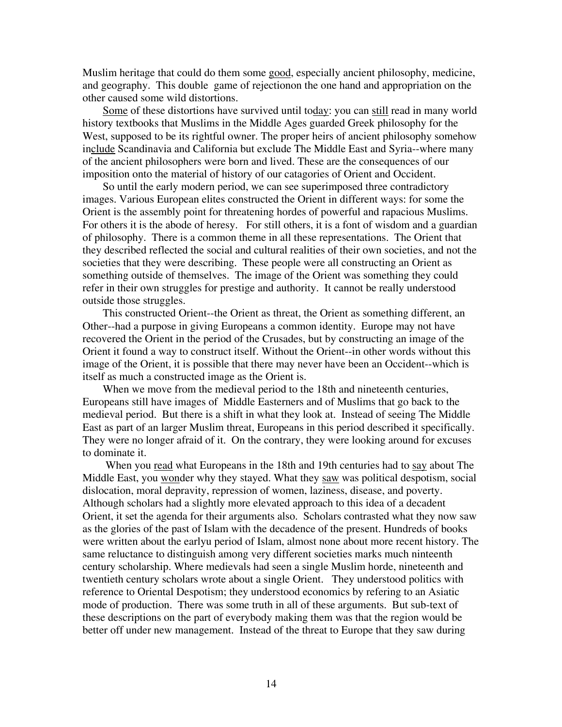Muslim heritage that could do them some good, especially ancient philosophy, medicine, and geography. This double game of rejectionon the one hand and appropriation on the other caused some wild distortions.

Some of these distortions have survived until today: you can still read in many world history textbooks that Muslims in the Middle Ages guarded Greek philosophy for the West, supposed to be its rightful owner. The proper heirs of ancient philosophy somehow include Scandinavia and California but exclude The Middle East and Syria--where many of the ancient philosophers were born and lived. These are the consequences of our imposition onto the material of history of our catagories of Orient and Occident.

So until the early modern period, we can see superimposed three contradictory images. Various European elites constructed the Orient in different ways: for some the Orient is the assembly point for threatening hordes of powerful and rapacious Muslims. For others it is the abode of heresy. For still others, it is a font of wisdom and a guardian of philosophy. There is a common theme in all these representations. The Orient that they described reflected the social and cultural realities of their own societies, and not the societies that they were describing. These people were all constructing an Orient as something outside of themselves. The image of the Orient was something they could refer in their own struggles for prestige and authority. It cannot be really understood outside those struggles.

This constructed Orient--the Orient as threat, the Orient as something different, an Other--had a purpose in giving Europeans a common identity. Europe may not have recovered the Orient in the period of the Crusades, but by constructing an image of the Orient it found a way to construct itself. Without the Orient--in other words without this image of the Orient, it is possible that there may never have been an Occident--which is itself as much a constructed image as the Orient is.

When we move from the medieval period to the 18th and nineteenth centuries, Europeans still have images of Middle Easterners and of Muslims that go back to the medieval period. But there is a shift in what they look at. Instead of seeing The Middle East as part of an larger Muslim threat, Europeans in this period described it specifically. They were no longer afraid of it. On the contrary, they were looking around for excuses to dominate it.

When you read what Europeans in the 18th and 19th centuries had to say about The Middle East, you wonder why they stayed. What they saw was political despotism, social dislocation, moral depravity, repression of women, laziness, disease, and poverty. Although scholars had a slightly more elevated approach to this idea of a decadent Orient, it set the agenda for their arguments also. Scholars contrasted what they now saw as the glories of the past of Islam with the decadence of the present. Hundreds of books were written about the earlyu period of Islam, almost none about more recent history. The same reluctance to distinguish among very different societies marks much ninteenth century scholarship. Where medievals had seen a single Muslim horde, nineteenth and twentieth century scholars wrote about a single Orient. They understood politics with reference to Oriental Despotism; they understood economics by refering to an Asiatic mode of production. There was some truth in all of these arguments. But sub-text of these descriptions on the part of everybody making them was that the region would be better off under new management. Instead of the threat to Europe that they saw during